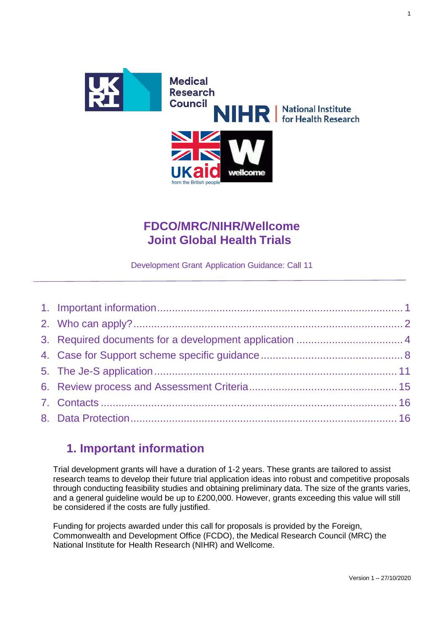

# **FDCO/MRC/NIHR/Wellcome Joint Global Health Trials**

Development Grant Application Guidance: Call 11

# **1. Important information**

<span id="page-0-0"></span>Trial development grants will have a duration of 1-2 years. These grants are tailored to assist research teams to develop their future trial application ideas into robust and competitive proposals through conducting feasibility studies and obtaining preliminary data. The size of the grants varies, and a general guideline would be up to £200,000. However, grants exceeding this value will still be considered if the costs are fully justified.

Funding for projects awarded under this call for proposals is provided by the Foreign, Commonwealth and Development Office (FCDO), the Medical Research Council (MRC) the National Institute for Health Research (NIHR) and Wellcome.

1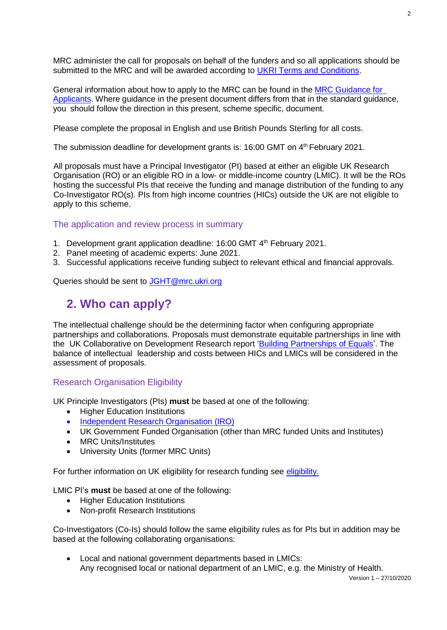MRC administer the call for proposals on behalf of the funders and so all applications should be submitted to the MRC and will be awarded according to UKRI Terms and [Conditions.](https://www.ukri.org/funding/information-for-award-holders/grant-terms-and-conditions/)

General information about how to apply to the MRC can be found in the MRC [Guidance](https://mrc.ukri.org/funding/guidance-for-applicants/2-the-application/) for [Applicants.](https://mrc.ukri.org/funding/guidance-for-applicants/2-the-application/) Where guidance in the present document differs from that in the standard guidance, you should follow the direction in this present, scheme specific, document.

Please complete the proposal in English and use British Pounds Sterling for all costs.

The submission deadline for development grants is: 16:00 GMT on 4<sup>th</sup> February 2021.

All proposals must have a Principal Investigator (PI) based at either an eligible UK Research Organisation (RO) or an eligible RO in a low- or middle-income country (LMIC). It will be the ROs hosting the successful PIs that receive the funding and manage distribution of the funding to any Co-Investigator RO(s). PIs from high income countries (HICs) outside the UK are not eligible to apply to this scheme.

#### The application and review process in summary

- 1. Development grant application deadline: 16:00 GMT 4<sup>th</sup> February 2021.
- 2. Panel meeting of academic experts: June 2021.
- 3. Successful applications receive funding subject to relevant ethical and financial approvals.

<span id="page-1-0"></span>Queries should be sent to [JGHT@mrc.ukri.org](mailto:JGHT@mrc.ukri.org)

## **2. Who can apply?**

The intellectual challenge should be the determining factor when configuring appropriate partnerships and collaborations. Proposals must demonstrate equitable partnerships in line with the UK Collaborative on Development Research report 'Building [Partnerships of](https://www.ukcdr.org.uk/resource/finding-and-building-effective-and-equitable-research-collaborations/) Equals'. The balance of intellectual leadership and costs between HICs and LMICs will be considered in the assessment of proposals.

#### Research Organisation Eligibility

UK Principle Investigators (PIs) **must** be based at one of the following:

- Higher Education Institutions
- [Independent Research](https://www.ukri.org/files/funding/tcs/eligible-research-councils-institutes-pdf/) Organisation (IRO)
- UK Government Funded Organisation (other than MRC funded Units and Institutes)
- MRC Units/Institutes
- University Units (former MRC Units)

For further information on UK eligibility for research funding see [eligibility.](https://www.ukri.org/funding/how-to-apply/eligibility/)

LMIC PI's **must** be based at one of the following:

- Higher Education Institutions
- Non-profit Research Institutions

Co-Investigators (Co-Is) should follow the same eligibility rules as for PIs but in addition may be based at the following collaborating organisations:

• Local and national government departments based in LMICs: Any recognised local or national department of an LMIC, e.g. the Ministry of Health.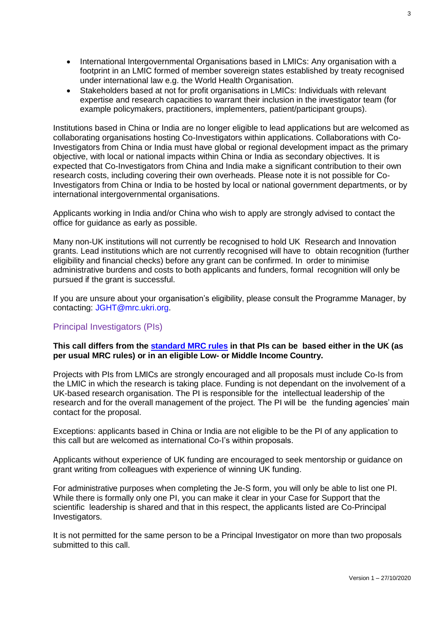- International Intergovernmental Organisations based in LMICs: Any organisation with a footprint in an LMIC formed of member sovereign states established by treaty recognised under international law e.g. the World Health Organisation.
- Stakeholders based at not for profit organisations in LMICs: Individuals with relevant expertise and research capacities to warrant their inclusion in the investigator team (for example policymakers, practitioners, implementers, patient/participant groups).

Institutions based in China or India are no longer eligible to lead applications but are welcomed as collaborating organisations hosting Co-Investigators within applications. Collaborations with Co-Investigators from China or India must have global or regional development impact as the primary objective, with local or national impacts within China or India as secondary objectives. It is expected that Co-Investigators from China and India make a significant contribution to their own research costs, including covering their own overheads. Please note it is not possible for Co-Investigators from China or India to be hosted by local or national government departments, or by international intergovernmental organisations.

Applicants working in India and/or China who wish to apply are strongly advised to contact the office for guidance as early as possible.

Many non-UK institutions will not currently be recognised to hold UK Research and Innovation grants. Lead institutions which are not currently recognised will have to obtain recognition (further eligibility and financial checks) before any grant can be confirmed. In order to minimise administrative burdens and costs to both applicants and funders, formal recognition will only be pursued if the grant is successful.

If you are unsure about your organisation's eligibility, please consult the Programme Manager, by contacting: [JGHT@mrc.ukri.org.](mailto:JGHT@mrc.ukri.org)

#### Principal Investigators (PIs)

#### **This call differs from the [standard](https://mrc.ukri.org/funding/guidance-for-applicants/1-who-can-apply-and-how-to-apply/) MRC rules in that PIs can be based either in the UK (as per usual MRC rules) or in an eligible Low- or Middle Income Country.**

Projects with PIs from LMICs are strongly encouraged and all proposals must include Co-Is from the LMIC in which the research is taking place. Funding is not dependant on the involvement of a UK-based research organisation. The PI is responsible for the intellectual leadership of the research and for the overall management of the project. The PI will be the funding agencies' main contact for the proposal.

Exceptions: applicants based in China or India are not eligible to be the PI of any application to this call but are welcomed as international Co-I's within proposals.

Applicants without experience of UK funding are encouraged to seek mentorship or guidance on grant writing from colleagues with experience of winning UK funding.

For administrative purposes when completing the Je-S form, you will only be able to list one PI. While there is formally only one PI, you can make it clear in your Case for Support that the scientific leadership is shared and that in this respect, the applicants listed are Co-Principal Investigators.

It is not permitted for the same person to be a Principal Investigator on more than two proposals submitted to this call.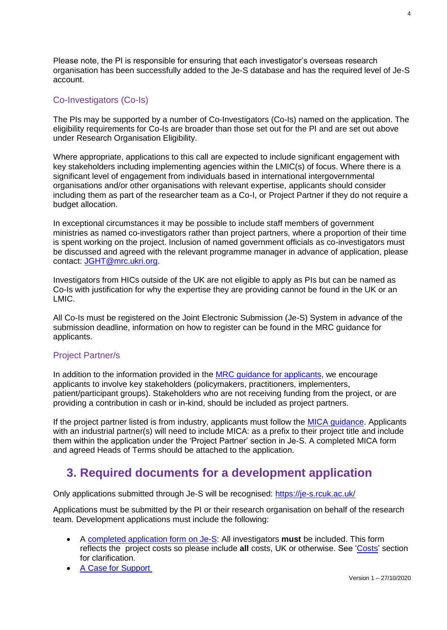Please note, the PI is responsible for ensuring that each investigator's overseas research organisation has been successfully added to the Je-S database and has the required level of Je-S account.

## Co-Investigators (Co-Is)

The PIs may be supported by a number of Co-Investigators (Co-Is) named on the application. The eligibility requirements for Co-Is are broader than those set out for the PI and are set out above under Research Organisation Eligibility.

Where appropriate, applications to this call are expected to include significant engagement with key stakeholders including implementing agencies within the LMIC(s) of focus. Where there is a significant level of engagement from individuals based in international intergovernmental organisations and/or other organisations with relevant expertise, applicants should consider including them as part of the researcher team as a Co-I, or Project Partner if they do not require a budget allocation.

In exceptional circumstances it may be possible to include staff members of government ministries as named co-investigators rather than project partners, where a proportion of their time is spent working on the project. Inclusion of named government officials as co-investigators must be discussed and agreed with the relevant programme manager in advance of application, please contact: [JGHT@mrc.ukri.org.](file:///C:/Users/mgarrett/objective/home/Objects/JGHT@mrc.ukri.org)

Investigators from HICs outside of the UK are not eligible to apply as PIs but can be named as Co-Is with justification for why the expertise they are providing cannot be found in the UK or an LMIC.

All Co-Is must be registered on the Joint Electronic Submission (Je-S) System in advance of the submission deadline, information on how to register can be found in the MRC guidance for applicants.

## <span id="page-3-1"></span>Project Partner/s

In addition to the information provided in the **MRC** guidance for applicants, we encourage applicants to involve key stakeholders (policymakers, practitioners, implementers, patient/participant groups). Stakeholders who are not receiving funding from the project, or are providing a contribution in cash or in-kind, should be included as project partners.

If the project partner listed is from industry, applicants must follow the [MICA guidance.](https://mrc.ukri.org/innovation/mrc-industry-collaboration-agreement-mica/) Applicants with an industrial partner(s) will need to include MICA: as a prefix to their project title and include them within the application under the 'Project Partner' section in Je-S. A completed MICA form and agreed Heads of Terms should be attached to the application.

# **3. Required documents for a development application**

<span id="page-3-0"></span>Only applications submitted through Je-S will be recognised: <https://je-s.rcuk.ac.uk/>

Applications must be submitted by the PI or their research organisation on behalf of the research team. Development applications must include the following:

- A [completed](#page-10-0) application form on Je-S: All investigators **must** be included. This form reflects the project costs so please include **all** costs, UK or otherwise. See ['Costs'](#page-11-0) section for clarification.
- A Case for [Support](#page-7-0)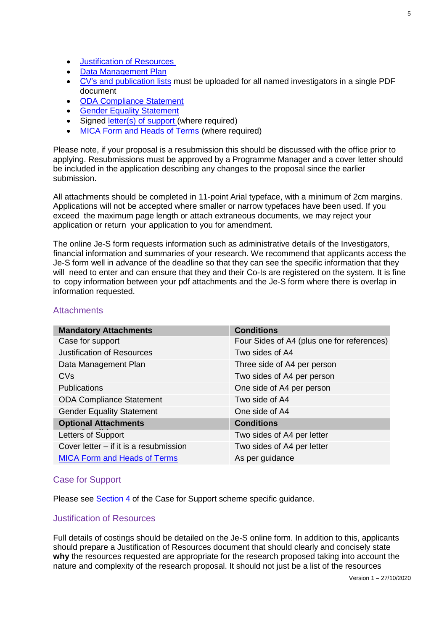- [Justification of Resources](#page-4-0)
- [Data Management Plan](#page-5-0)
- CV's [and publication lists](#page-5-1) must be uploaded for all named investigators in a single PDF document
- [ODA Compliance Statement](#page-6-0)
- **[Gender Equality Statement](#page-6-1)**
- Signed [letter\(s\) of support \(](#page-7-1)where required)
- [MICA Form and Heads of Terms](#page-3-1) (where required)

Please note, if your proposal is a resubmission this should be discussed with the office prior to applying. Resubmissions must be approved by a Programme Manager and a cover letter should be included in the application describing any changes to the proposal since the earlier submission.

All attachments should be completed in 11-point Arial typeface, with a minimum of 2cm margins. Applications will not be accepted where smaller or narrow typefaces have been used. If you exceed the maximum page length or attach extraneous documents, we may reject your application or return your application to you for amendment.

The online Je-S form requests information such as administrative details of the Investigators, financial information and summaries of your research. We recommend that applicants access the Je-S form well in advance of the deadline so that they can see the specific information that they will need to enter and can ensure that they and their Co-Is are registered on the system. It is fine to copy information between your pdf attachments and the Je-S form where there is overlap in information requested.

| <b>Conditions</b>                          |
|--------------------------------------------|
| Four Sides of A4 (plus one for references) |
| Two sides of A4                            |
| Three side of A4 per person                |
| Two sides of A4 per person                 |
| One side of A4 per person                  |
| Two side of A4                             |
| One side of A4                             |
| <b>Conditions</b>                          |
| Two sides of A4 per letter                 |
| Two sides of A4 per letter                 |
| As per guidance                            |
|                                            |

## **Attachments**

#### Case for Support

Please see **Section 4** of the Case for Support scheme specific guidance.

#### <span id="page-4-0"></span>Justification of Resources

Full details of costings should be detailed on the Je-S online form. In addition to this, applicants should prepare a Justification of Resources document that should clearly and concisely state **why** the resources requested are appropriate for the research proposed taking into account the nature and complexity of the research proposal. It should not just be a list of the resources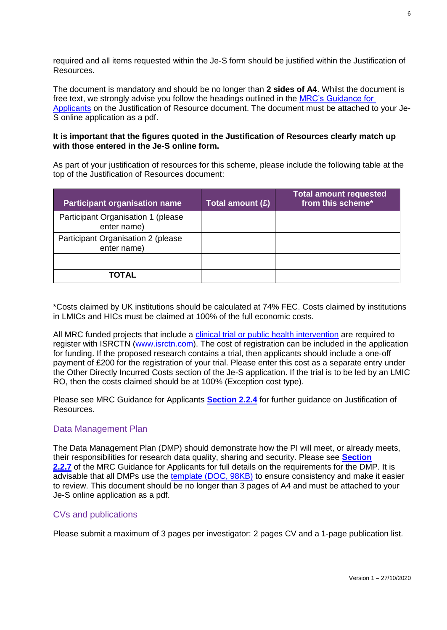required and all items requested within the Je-S form should be justified within the Justification of Resources.

The document is mandatory and should be no longer than **2 sides of A4**. Whilst the document is free text, we strongly advise you follow the headings outlined in the [MRC's Guidance for](https://mrc.ukri.org/funding/guidance-for-applicants/2-the-application/#2.2.4)  [Applicants](https://mrc.ukri.org/funding/guidance-for-applicants/2-the-application/#2.2.4) on the Justification of Resource document. The document must be attached to your Je-S online application as a pdf.

#### **It is important that the figures quoted in the Justification of Resources clearly match up with those entered in the Je-S online form.**

As part of your justification of resources for this scheme, please include the following table at the top of the Justification of Resources document:

| <b>Participant organisation name</b>              | Total amount (£) | <b>Total amount requested</b><br>from this scheme* |
|---------------------------------------------------|------------------|----------------------------------------------------|
| Participant Organisation 1 (please<br>enter name) |                  |                                                    |
| Participant Organisation 2 (please<br>enter name) |                  |                                                    |
|                                                   |                  |                                                    |
| TOTAL                                             |                  |                                                    |

\*Costs claimed by UK institutions should be calculated at 74% FEC. Costs claimed by institutions in LMICs and HICs must be claimed at 100% of the full economic costs.

All MRC funded projects that include a clinical trial [or public health intervention](https://mrc.ukri.org/research/policies-and-guidance-for-researchers/open-research-data-clinical-trials-and-public-health-interventions/) are required to register with ISRCTN [\(www.isrctn.com\)](http://www.isrctn.com/). The cost of registration can be included in the application for funding. If the proposed research contains a trial, then applicants should include a one-off payment of £200 for the registration of your trial. Please enter this cost as a separate entry under the Other Directly Incurred Costs section of the Je-S application. If the trial is to be led by an LMIC RO, then the costs claimed should be at 100% (Exception cost type).

Please see MRC Guidance for Applicants **[Section 2.2.4](https://mrc.ukri.org/funding/guidance-for-applicants/2-the-application/#2.2.4)** for further guidance on Justification of Resources.

#### <span id="page-5-0"></span>Data Management Plan

The Data Management Plan (DMP) should demonstrate how the PI will meet, or already meets, their responsibilities for research data quality, sharing and security. Please see **[Section](https://mrc.ukri.org/funding/guidance-for-applicants/2-the-application/#2.2.7)** [2.2.7](https://mrc.ukri.org/funding/guidance-for-applicants/2-the-application/#2.2.7) of the MRC Guidance for Applicants for full details on the requirements for the DMP. It is advisable that all DMPs use the [template \(DOC, 98KB\)](https://mrc.ukri.org/documents/doc/data-management-plan-template/) to ensure consistency and make it easier to review. This document should be no longer than 3 pages of A4 and must be attached to your Je-S online application as a pdf.

#### <span id="page-5-1"></span>CVs and publications

Please submit a maximum of 3 pages per investigator: 2 pages CV and a 1-page publication list.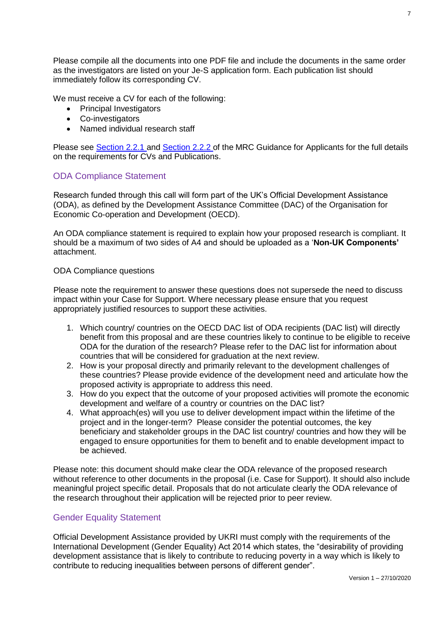Please compile all the documents into one PDF file and include the documents in the same order as the investigators are listed on your Je-S application form. Each publication list should immediately follow its corresponding CV.

We must receive a CV for each of the following:

- Principal Investigators
- Co-investigators
- Named individual research staff

Please see [Section 2.2.1 a](https://mrc.ukri.org/funding/guidance-for-applicants/2-the-application/#2.2.1)nd [Section 2.2.2](https://mrc.ukri.org/funding/guidance-for-applicants/2-the-application/#2.2.2) of the MRC Guidance for Applicants for the full details on the requirements for CVs and Publications.

### <span id="page-6-0"></span>ODA Compliance Statement

Research funded through this call will form part of the UK's Official Development Assistance (ODA), as defined by the Development Assistance Committee (DAC) of the Organisation for Economic Co-operation and Development (OECD).

An ODA compliance statement is required to explain how your proposed research is compliant. It should be a maximum of two sides of A4 and should be uploaded as a '**Non-UK Components'**  attachment.

#### ODA Compliance questions

Please note the requirement to answer these questions does not supersede the need to discuss impact within your Case for Support. Where necessary please ensure that you request appropriately justified resources to support these activities.

- 1. Which country/ countries on the OECD DAC list of ODA recipients (DAC list) will directly benefit from this proposal and are these countries likely to continue to be eligible to receive ODA for the duration of the research? Please refer to the DAC list for information about countries that will be considered for graduation at the next review.
- 2. How is your proposal directly and primarily relevant to the development challenges of these countries? Please provide evidence of the development need and articulate how the proposed activity is appropriate to address this need.
- 3. How do you expect that the outcome of your proposed activities will promote the economic development and welfare of a country or countries on the DAC list?
- 4. What approach(es) will you use to deliver development impact within the lifetime of the project and in the longer-term? Please consider the potential outcomes, the key beneficiary and stakeholder groups in the DAC list country/ countries and how they will be engaged to ensure opportunities for them to benefit and to enable development impact to be achieved.

Please note: this document should make clear the ODA relevance of the proposed research without reference to other documents in the proposal (i.e. Case for Support). It should also include meaningful project specific detail. Proposals that do not articulate clearly the ODA relevance of the research throughout their application will be rejected prior to peer review.

#### <span id="page-6-1"></span>Gender Equality Statement

Official Development Assistance provided by UKRI must comply with the requirements of the International Development (Gender Equality) Act 2014 which states, the "desirability of providing development assistance that is likely to contribute to reducing poverty in a way which is likely to contribute to reducing inequalities between persons of different gender".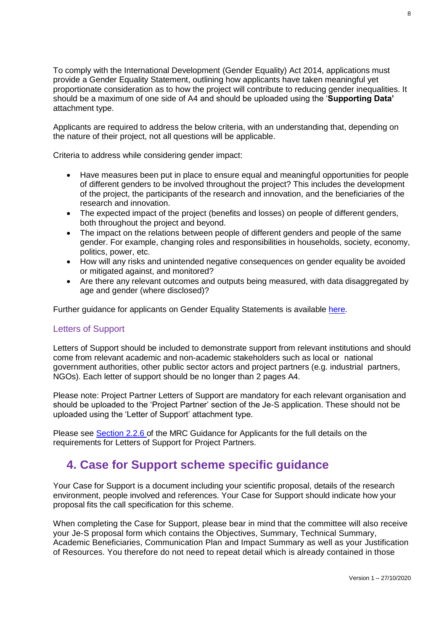To comply with the International Development (Gender Equality) Act 2014, applications must provide a Gender Equality Statement, outlining how applicants have taken meaningful yet proportionate consideration as to how the project will contribute to reducing gender inequalities. It should be a maximum of one side of A4 and should be uploaded using the '**Supporting Data'**  attachment type.

Applicants are required to address the below criteria, with an understanding that, depending on the nature of their project, not all questions will be applicable.

Criteria to address while considering gender impact:

- Have measures been put in place to ensure equal and meaningful opportunities for people of different genders to be involved throughout the project? This includes the development of the project, the participants of the research and innovation, and the beneficiaries of the research and innovation.
- The expected impact of the project (benefits and losses) on people of different genders, both throughout the project and beyond.
- The impact on the relations between people of different genders and people of the same gender. For example, changing roles and responsibilities in households, society, economy, politics, power, etc.
- How will any risks and unintended negative consequences on gender equality be avoided or mitigated against, and monitored?
- Are there any relevant outcomes and outputs being measured, with data disaggregated by age and gender (where disclosed)?

Further guidance for applicants on Gender Equality Statements is available [here.](https://www.ukri.org/files/research/gcrf/gender-equality-statement-guidance/)

#### <span id="page-7-1"></span>Letters of Support

Letters of Support should be included to demonstrate support from relevant institutions and should come from relevant academic and non-academic stakeholders such as local or national government authorities, other public sector actors and project partners (e.g. industrial partners, NGOs). Each letter of support should be no longer than 2 pages A4.

Please note: Project Partner Letters of Support are mandatory for each relevant organisation and should be uploaded to the 'Project Partner' section of the Je-S application. These should not be uploaded using the 'Letter of Support' attachment type.

Please see [Section 2.2.6](https://mrc.ukri.org/funding/guidance-for-applicants/2-the-application/#2.2.6) of the MRC Guidance for Applicants for the full details on the requirements for Letters of Support for Project Partners.

## <span id="page-7-2"></span>**4. Case for Support scheme specific guidance**

<span id="page-7-0"></span>Your Case for Support is a document including your scientific proposal, details of the research environment, people involved and references. Your Case for Support should indicate how your proposal fits the call specification for this scheme.

When completing the Case for Support, please bear in mind that the committee will also receive your Je-S proposal form which contains the Objectives, Summary, Technical Summary, Academic Beneficiaries, Communication Plan and Impact Summary as well as your Justification of Resources. You therefore do not need to repeat detail which is already contained in those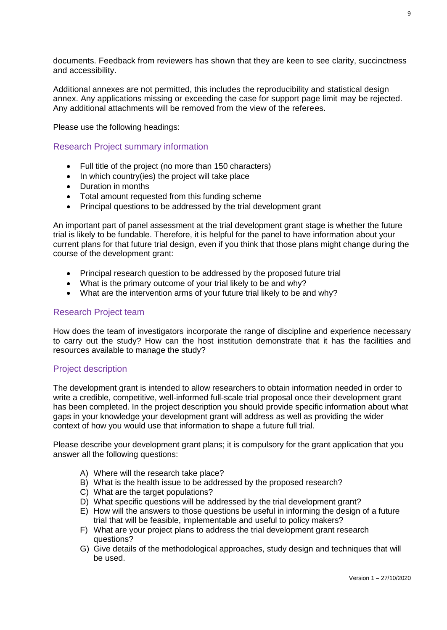documents. Feedback from reviewers has shown that they are keen to see clarity, succinctness and accessibility.

Additional annexes are not permitted, this includes the reproducibility and statistical design annex. Any applications missing or exceeding the case for support page limit may be rejected. Any additional attachments will be removed from the view of the referees.

Please use the following headings:

Research Project summary information

- Full title of the project (no more than 150 characters)
- In which country(ies) the project will take place
- Duration in months
- Total amount requested from this funding scheme
- Principal questions to be addressed by the trial development grant

An important part of panel assessment at the trial development grant stage is whether the future trial is likely to be fundable. Therefore, it is helpful for the panel to have information about your current plans for that future trial design, even if you think that those plans might change during the course of the development grant:

- Principal research question to be addressed by the proposed future trial
- What is the primary outcome of your trial likely to be and why?
- What are the intervention arms of your future trial likely to be and why?

#### Research Project team

How does the team of investigators incorporate the range of discipline and experience necessary to carry out the study? How can the host institution demonstrate that it has the facilities and resources available to manage the study?

#### Project description

The development grant is intended to allow researchers to obtain information needed in order to write a credible, competitive, well-informed full-scale trial proposal once their development grant has been completed. In the project description you should provide specific information about what gaps in your knowledge your development grant will address as well as providing the wider context of how you would use that information to shape a future full trial.

Please describe your development grant plans; it is compulsory for the grant application that you answer all the following questions:

- A) Where will the research take place?
- B) What is the health issue to be addressed by the proposed research?
- C) What are the target populations?
- D) What specific questions will be addressed by the trial development grant?
- E) How will the answers to those questions be useful in informing the design of a future trial that will be feasible, implementable and useful to policy makers?
- F) What are your project plans to address the trial development grant research questions?
- G) Give details of the methodological approaches, study design and techniques that will be used.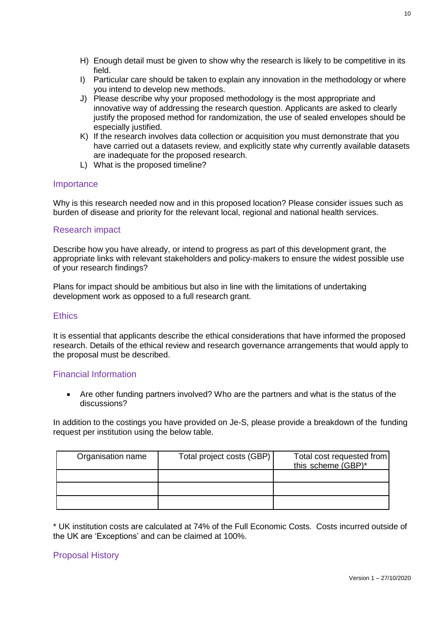- H) Enough detail must be given to show why the research is likely to be competitive in its field.
- I) Particular care should be taken to explain any innovation in the methodology or where you intend to develop new methods.
- J) Please describe why your proposed methodology is the most appropriate and innovative way of addressing the research question. Applicants are asked to clearly justify the proposed method for randomization, the use of sealed envelopes should be especially justified.
- K) If the research involves data collection or acquisition you must demonstrate that you have carried out a datasets review, and explicitly state why currently available datasets are inadequate for the proposed research.
- L) What is the proposed timeline?

#### **Importance**

Why is this research needed now and in this proposed location? Please consider issues such as burden of disease and priority for the relevant local, regional and national health services.

#### Research impact

Describe how you have already, or intend to progress as part of this development grant, the appropriate links with relevant stakeholders and policy-makers to ensure the widest possible use of your research findings?

Plans for impact should be ambitious but also in line with the limitations of undertaking development work as opposed to a full research grant.

#### **Ethics**

It is essential that applicants describe the ethical considerations that have informed the proposed research. Details of the ethical review and research governance arrangements that would apply to the proposal must be described.

#### Financial Information

• Are other funding partners involved? Who are the partners and what is the status of the discussions?

In addition to the costings you have provided on Je-S, please provide a breakdown of the funding request per institution using the below table.

| Organisation name | Total project costs (GBP) | Total cost requested from<br>this scheme (GBP)* |
|-------------------|---------------------------|-------------------------------------------------|
|                   |                           |                                                 |
|                   |                           |                                                 |
|                   |                           |                                                 |

\* UK institution costs are calculated at 74% of the Full Economic Costs. Costs incurred outside of the UK are 'Exceptions' and can be claimed at 100%.

#### Proposal History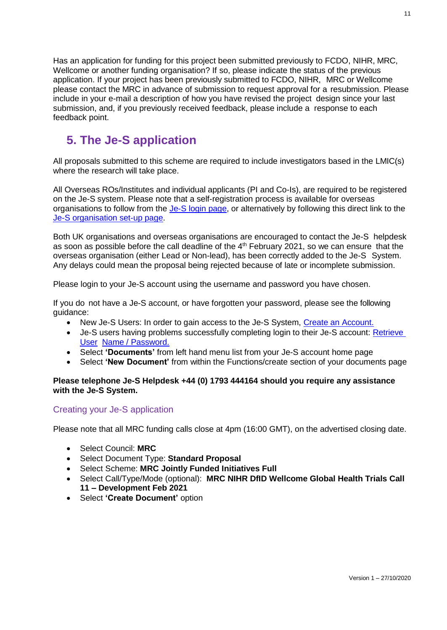Has an application for funding for this project been submitted previously to FCDO, NIHR, MRC, Wellcome or another funding organisation? If so, please indicate the status of the previous application. If your project has been previously submitted to FCDO, NIHR, MRC or Wellcome please contact the MRC in advance of submission to request approval for a resubmission. Please include in your e-mail a description of how you have revised the project design since your last submission, and, if you previously received feedback, please include a response to each feedback point.

# **5. The Je-S application**

<span id="page-10-0"></span>All proposals submitted to this scheme are required to include investigators based in the LMIC(s) where the research will take place.

All Overseas ROs/Institutes and individual applicants (PI and Co-Is), are required to be registered on the Je-S system. Please note that a self-registration process is available for overseas organisations to follow from the [Je-S login page,](https://je-s.rcuk.ac.uk/JeS2WebLoginSite/Login.aspx) or alternatively by following this direct link to the [Je-S organisation set-up page.](https://je-s.rcuk.ac.uk/JeS2WebLoginSite/TermsConditions.aspx?mode=orgsetup.)

Both UK organisations and overseas organisations are encouraged to contact the Je-S helpdesk as soon as possible before the call deadline of the  $4<sup>th</sup>$  February 2021, so we can ensure that the overseas organisation (either Lead or Non-lead), has been correctly added to the Je-S System. Any delays could mean the proposal being rejected because of late or incomplete submission.

Please login to your Je-S account using the username and password you have chosen.

If you do not have a Je-S account, or have forgotten your password, please see the following guidance:

- New Je-S Users: In order to gain access to the Je-S System, Create [an Account.](https://je-s.rcuk.ac.uk/JeS2WebLoginSite/TermsConditions.aspx?mode=accountsetup)
- Je-S users having problems successfully completing login to their Je-S account: [Retrieve](https://je-s.rcuk.ac.uk/JeS2WebLoginSite/Forgot.aspx)  [User](https://je-s.rcuk.ac.uk/JeS2WebLoginSite/Forgot.aspx) Name / [Password.](https://je-s.rcuk.ac.uk/JeS2WebLoginSite/Forgot.aspx)
- Select **'Documents'** from left hand menu list from your Je-S account home page
- Select **'New Document'** from within the Functions/create section of your documents page

#### **Please telephone Je-S Helpdesk +44 (0) 1793 444164 should you require any assistance with the Je-S System.**

#### Creating your Je-S application

Please note that all MRC funding calls close at 4pm (16:00 GMT), on the advertised closing date.

- Select Council: **MRC**
- Select Document Type: **Standard Proposal**
- Select Scheme: **MRC Jointly Funded Initiatives Full**
- Select Call/Type/Mode (optional): **MRC NIHR DfID Wellcome Global Health Trials Call 11 – Development Feb 2021**
- Select **'Create Document'** option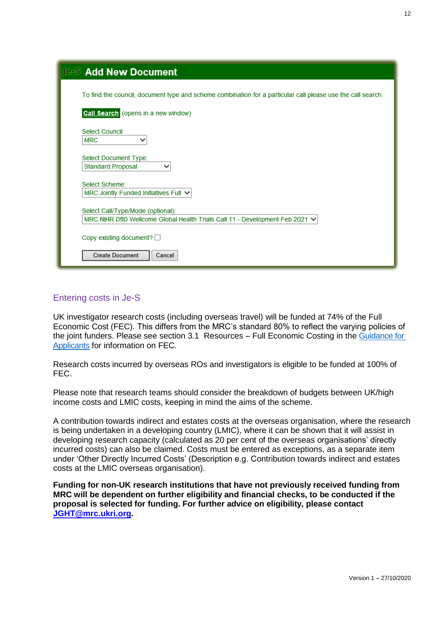| <b>Je-S Add New Document</b>                                                                                      |
|-------------------------------------------------------------------------------------------------------------------|
| To find the council, document type and scheme combination for a particular call please use the call search.       |
| <b>Call Search</b> (opens in a new window)                                                                        |
| Select Council:<br><b>MRC</b><br>$\checkmark$                                                                     |
| Select Document Type:<br><b>Standard Proposal</b>                                                                 |
| Select Scheme:<br>MRC Jointly Funded Initiatives Full $\vee$                                                      |
| Select Call/Type/Mode (optional):<br>MRC NIHR DfID Wellcome Global Health Trials Call 11 - Development Feb 2021 V |
| Copy existing document?                                                                                           |
| <b>Create Document</b><br>Cancel                                                                                  |

### <span id="page-11-0"></span>Entering costs in Je-S

UK investigator research costs (including overseas travel) will be funded at 74% of the Full Economic Cost (FEC). This differs from the MRC's standard 80% to reflect the varying policies of the joint funders. Please see section 3.1 Resources - Full Economic Costing in the Guidance for [Applicants](https://mrc.ukri.org/funding/guidance-for-applicants/resources/) for information on FEC.

Research costs incurred by overseas ROs and investigators is eligible to be funded at 100% of FEC.

Please note that research teams should consider the breakdown of budgets between UK/high income costs and LMIC costs, keeping in mind the aims of the scheme.

A contribution towards indirect and estates costs at the overseas organisation, where the research is being undertaken in a developing country (LMIC), where it can be shown that it will assist in developing research capacity (calculated as 20 per cent of the overseas organisations' directly incurred costs) can also be claimed. Costs must be entered as exceptions, as a separate item under 'Other Directly Incurred Costs' (Description e.g. Contribution towards indirect and estates costs at the LMIC overseas organisation).

**Funding for non-UK research institutions that have not previously received funding from MRC will be dependent on further eligibility and financial checks, to be conducted if the proposal is selected for funding. For further advice on eligibility, please contact [JGHT@mrc.ukri.org.](mailto:JGHT@mrc.ukri.org)**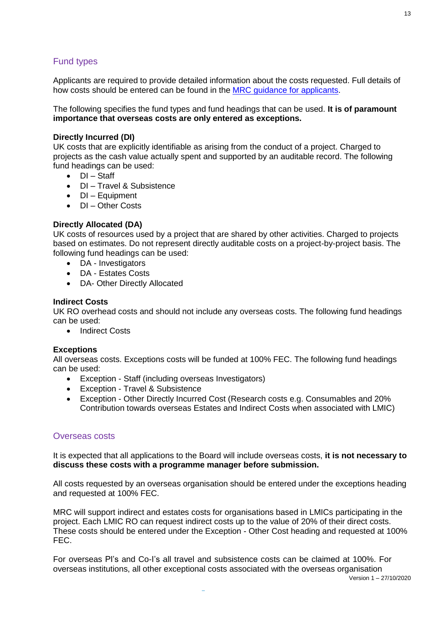## Fund types

Applicants are required to provide detailed information about the costs requested. Full details of how costs should be entered can be found in the [MRC guidance for applicants.](https://mrc.ukri.org/funding/guidance-for-applicants/resources/#3.2)

The following specifies the fund types and fund headings that can be used. **It is of paramount importance that overseas costs are only entered as exceptions.**

#### **Directly Incurred (DI)**

UK costs that are explicitly identifiable as arising from the conduct of a project. Charged to projects as the cash value actually spent and supported by an auditable record. The following fund headings can be used:

- DI Staff
- DI Travel & Subsistence
- **DI** Equipment
- DI Other Costs

#### **Directly Allocated (DA)**

UK costs of resources used by a project that are shared by other activities. Charged to projects based on estimates. Do not represent directly auditable costs on a project-by-project basis. The following fund headings can be used:

- DA Investigators
- DA Estates Costs
- DA- Other Directly Allocated

#### **Indirect Costs**

UK RO overhead costs and should not include any overseas costs. The following fund headings can be used:

• Indirect Costs

#### **Exceptions**

All overseas costs. Exceptions costs will be funded at 100% FEC. The following fund headings can be used:

- Exception Staff (including overseas Investigators)
- Exception Travel & Subsistence
- Exception Other Directly Incurred Cost (Research costs e.g. Consumables and 20% Contribution towards overseas Estates and Indirect Costs when associated with LMIC)

#### Overseas costs

It is expected that all applications to the Board will include overseas costs, **it is not necessary to discuss these costs with a programme manager before submission.**

All costs requested by an overseas organisation should be entered under the exceptions heading and requested at 100% FEC.

MRC will support indirect and estates costs for organisations based in LMICs participating in the project. Each LMIC RO can request indirect costs up to the value of 20% of their direct costs. These costs should be entered under the Exception - Other Cost heading and requested at 100% FEC.

For overseas PI's and Co-I's all travel and subsistence costs can be claimed at 100%. For overseas institutions, all other exceptional costs associated with the overseas organisation

Version 1 – 27/10/2020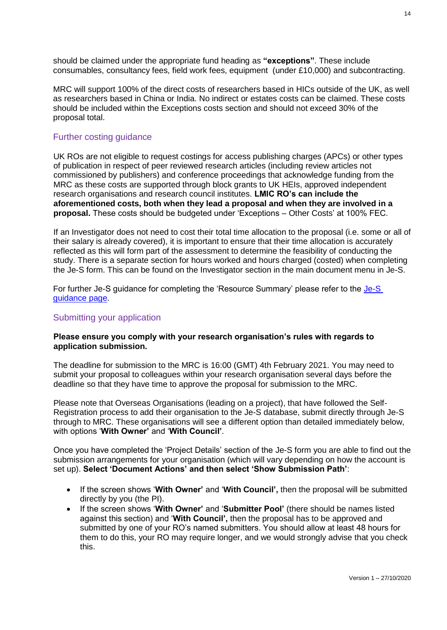should be claimed under the appropriate fund heading as **"exceptions"**. These include consumables, consultancy fees, field work fees, equipment (under £10,000) and subcontracting.

MRC will support 100% of the direct costs of researchers based in HICs outside of the UK, as well as researchers based in China or India. No indirect or estates costs can be claimed. These costs should be included within the Exceptions costs section and should not exceed 30% of the proposal total.

#### Further costing guidance

UK ROs are not eligible to request costings for access publishing charges (APCs) or other types of publication in respect of peer reviewed research articles (including review articles not commissioned by publishers) and conference proceedings that acknowledge funding from the MRC as these costs are supported through block grants to UK HEIs, approved independent research organisations and research council institutes. **LMIC RO's can include the aforementioned costs, both when they lead a proposal and when they are involved in a proposal.** These costs should be budgeted under 'Exceptions – Other Costs' at 100% FEC.

If an Investigator does not need to cost their total time allocation to the proposal (i.e. some or all of their salary is already covered), it is important to ensure that their time allocation is accurately reflected as this will form part of the assessment to determine the feasibility of conducting the study. There is a separate section for hours worked and hours charged (costed) when completing the Je-S form. This can be found on the Investigator section in the main document menu in Je-S.

For further Je-S guidance for completing the 'Resource Summary' please refer to the [Je-S](https://je-s.rcuk.ac.uk/Handbook/pages/OutlineProposals/ResourceSummary.htm)  quidance page.

#### Submitting your application

#### **Please ensure you comply with your research organisation's rules with regards to application submission.**

The deadline for submission to the MRC is 16:00 (GMT) 4th February 2021. You may need to submit your proposal to colleagues within your research organisation several days before the deadline so that they have time to approve the proposal for submission to the MRC.

Please note that Overseas Organisations (leading on a project), that have followed the Self-Registration process to add their organisation to the Je-S database, submit directly through Je-S through to MRC. These organisations will see a different option than detailed immediately below, with options '**With Owner'** and '**With Council'**.

Once you have completed the 'Project Details' section of the Je-S form you are able to find out the submission arrangements for your organisation (which will vary depending on how the account is set up). **Select 'Document Actions' and then select 'Show Submission Path'**:

- If the screen shows '**With Owner'** and '**With Council',** then the proposal will be submitted directly by you (the PI).
- If the screen shows '**With Owner'** and '**Submitter Pool'** (there should be names listed against this section) and '**With Council',** then the proposal has to be approved and submitted by one of your RO's named submitters. You should allow at least 48 hours for them to do this, your RO may require longer, and we would strongly advise that you check this.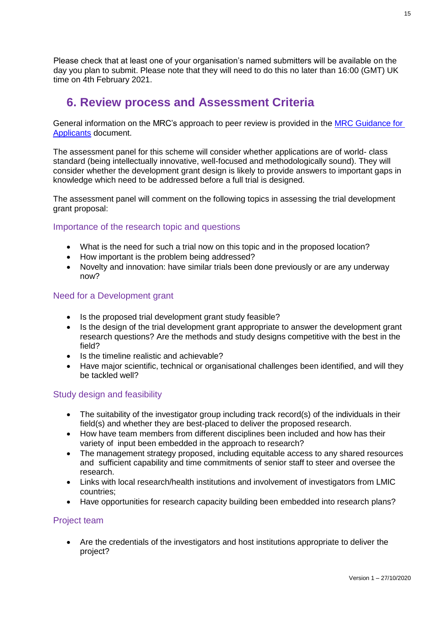Please check that at least one of your organisation's named submitters will be available on the day you plan to submit. Please note that they will need to do this no later than 16:00 (GMT) UK time on 4th February 2021.

## **6. Review process and Assessment Criteria**

<span id="page-14-0"></span>General information on the MRC's approach to peer review is provided in the [MRC Guidance for](https://mrc.ukri.org/funding/peer-review/)  [Applicants](https://mrc.ukri.org/funding/peer-review/) document.

The assessment panel for this scheme will consider whether applications are of world- class standard (being intellectually innovative, well-focused and methodologically sound). They will consider whether the development grant design is likely to provide answers to important gaps in knowledge which need to be addressed before a full trial is designed.

The assessment panel will comment on the following topics in assessing the trial development grant proposal:

### Importance of the research topic and questions

- What is the need for such a trial now on this topic and in the proposed location?
- How important is the problem being addressed?
- Novelty and innovation: have similar trials been done previously or are any underway now?

#### Need for a Development grant

- Is the proposed trial development grant study feasible?
- Is the design of the trial development grant appropriate to answer the development grant research questions? Are the methods and study designs competitive with the best in the field?
- Is the timeline realistic and achievable?
- Have major scientific, technical or organisational challenges been identified, and will they be tackled well?

#### Study design and feasibility

- The suitability of the investigator group including track record(s) of the individuals in their field(s) and whether they are best-placed to deliver the proposed research.
- How have team members from different disciplines been included and how has their variety of input been embedded in the approach to research?
- The management strategy proposed, including equitable access to any shared resources and sufficient capability and time commitments of senior staff to steer and oversee the research.
- Links with local research/health institutions and involvement of investigators from LMIC countries;
- Have opportunities for research capacity building been embedded into research plans?

#### Project team

• Are the credentials of the investigators and host institutions appropriate to deliver the project?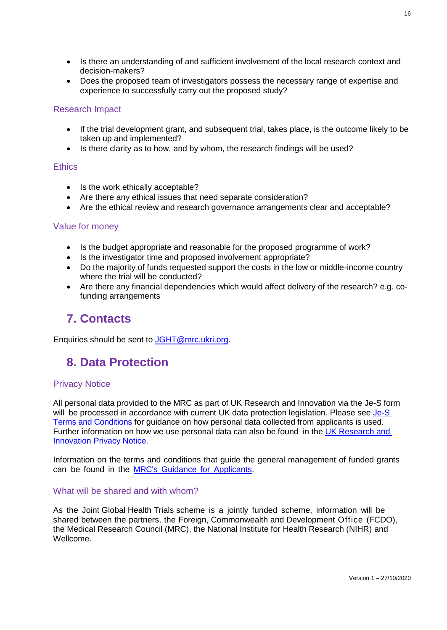- Is there an understanding of and sufficient involvement of the local research context and decision-makers?
- Does the proposed team of investigators possess the necessary range of expertise and experience to successfully carry out the proposed study?

#### Research Impact

- If the trial development grant, and subsequent trial, takes place, is the outcome likely to be taken up and implemented?
- Is there clarity as to how, and by whom, the research findings will be used?

#### **Ethics**

- Is the work ethically acceptable?
- Are there any ethical issues that need separate consideration?
- Are the ethical review and research governance arrangements clear and acceptable?

#### Value for money

- Is the budget appropriate and reasonable for the proposed programme of work?
- Is the investigator time and proposed involvement appropriate?
- Do the majority of funds requested support the costs in the low or middle-income country where the trial will be conducted?
- Are there any financial dependencies which would affect delivery of the research? e.g. cofunding arrangements

# **7. Contacts**

<span id="page-15-1"></span><span id="page-15-0"></span>Enquiries should be sent to [JGHT@mrc.ukri.org.](mailto:JGHT@mrc.ukri.org)

# **8. Data Protection**

#### Privacy Notice

All personal data provided to the MRC as part of UK Research and Innovation via the Je-S form will be processed in accordance with current UK data protection legislation. Please see Je-S [Terms and Conditions](https://je-s.rcuk.ac.uk/Handbook/Index.htm#pages/SystemRequirementsFormatsandSa/TermsandConditionsofUse.htm) for guidance on how personal data collected from applicants is used. Further information on how we use personal data can also be found in the [UK Research](https://www.ukri.org/privacy-notice/) and [Innovation](https://www.ukri.org/privacy-notice/) Privacy Notice.

Information on the terms and conditions that guide the general management of funded grants can be found in the MRC's Guidance for [Applicants.](https://mrc.ukri.org/funding/guidance-for-applicants/)

#### What will be shared and with whom?

As the Joint Global Health Trials scheme is a jointly funded scheme, information will be shared between the partners, the Foreign, Commonwealth and Development Office (FCDO), the Medical Research Council (MRC), the National Institute for Health Research (NIHR) and Wellcome.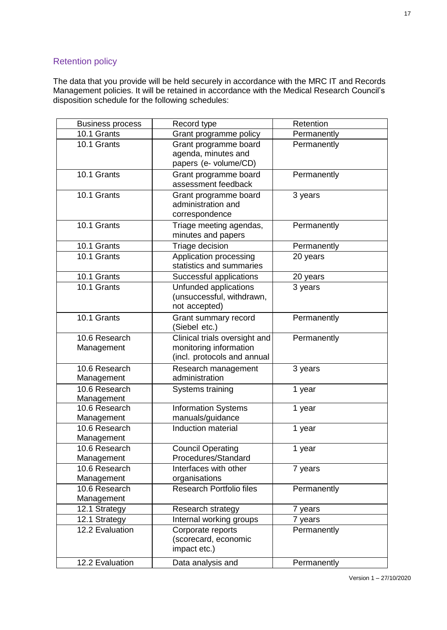## Retention policy

The data that you provide will be held securely in accordance with the MRC IT and Records Management policies. It will be retained in accordance with the Medical Research Council's disposition schedule for the following schedules:

| <b>Business process</b>     | Record type                                                                            | Retention   |
|-----------------------------|----------------------------------------------------------------------------------------|-------------|
| 10.1 Grants                 | Grant programme policy                                                                 | Permanently |
| 10.1 Grants                 | Grant programme board<br>agenda, minutes and<br>papers (e- volume/CD)                  | Permanently |
| 10.1 Grants                 | Grant programme board<br>assessment feedback                                           | Permanently |
| 10.1 Grants                 | Grant programme board<br>administration and<br>correspondence                          | 3 years     |
| 10.1 Grants                 | Triage meeting agendas,<br>minutes and papers                                          | Permanently |
| 10.1 Grants                 | Triage decision                                                                        | Permanently |
| 10.1 Grants                 | Application processing<br>statistics and summaries                                     | 20 years    |
| 10.1 Grants                 | Successful applications                                                                | 20 years    |
| 10.1 Grants                 | Unfunded applications<br>(unsuccessful, withdrawn,<br>not accepted)                    | 3 years     |
| 10.1 Grants                 | Grant summary record<br>(Siebel etc.)                                                  | Permanently |
| 10.6 Research<br>Management | Clinical trials oversight and<br>monitoring information<br>(incl. protocols and annual | Permanently |
| 10.6 Research<br>Management | Research management<br>administration                                                  | 3 years     |
| 10.6 Research<br>Management | Systems training                                                                       | 1 year      |
| 10.6 Research<br>Management | <b>Information Systems</b><br>manuals/guidance                                         | 1 year      |
| 10.6 Research<br>Management | <b>Induction material</b>                                                              | 1 year      |
| 10.6 Research<br>Management | <b>Council Operating</b><br>Procedures/Standard                                        | 1 year      |
| 10.6 Research<br>Management | Interfaces with other<br>organisations                                                 | 7 years     |
| 10.6 Research<br>Management | <b>Research Portfolio files</b>                                                        | Permanently |
| 12.1 Strategy               | Research strategy                                                                      | 7 years     |
| 12.1 Strategy               | Internal working groups                                                                | 7 years     |
| 12.2 Evaluation             | Corporate reports<br>(scorecard, economic<br>impact etc.)                              | Permanently |
| 12.2 Evaluation             | Data analysis and                                                                      | Permanently |